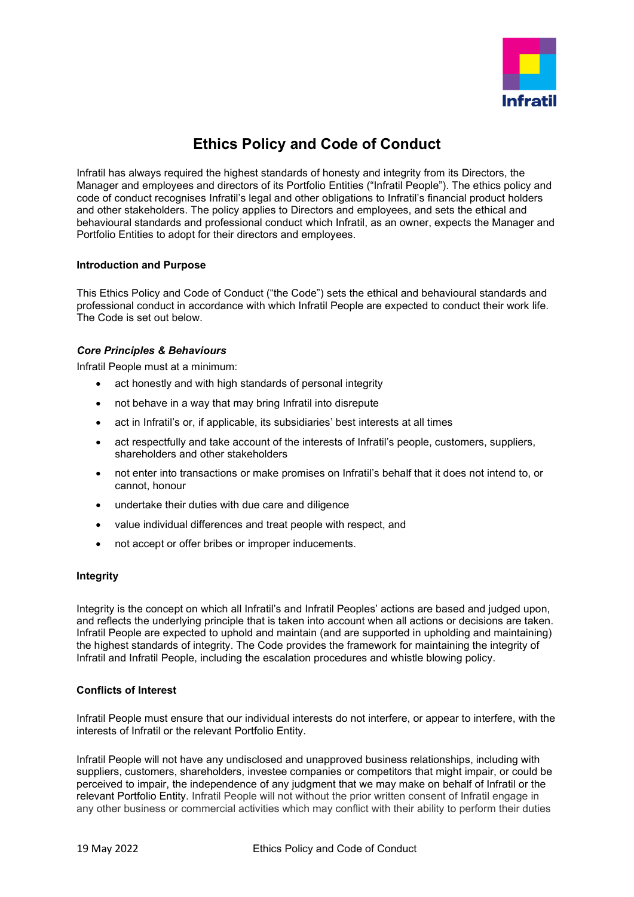

# **Ethics Policy and Code of Conduct**

Infratil has always required the highest standards of honesty and integrity from its Directors, the Manager and employees and directors of its Portfolio Entities ("Infratil People"). The ethics policy and code of conduct recognises Infratil's legal and other obligations to Infratil's financial product holders and other stakeholders. The policy applies to Directors and employees, and sets the ethical and behavioural standards and professional conduct which Infratil, as an owner, expects the Manager and Portfolio Entities to adopt for their directors and employees.

## **Introduction and Purpose**

This Ethics Policy and Code of Conduct ("the Code") sets the ethical and behavioural standards and professional conduct in accordance with which Infratil People are expected to conduct their work life. The Code is set out below.

# *Core Principles & Behaviours*

Infratil People must at a minimum:

- act honestly and with high standards of personal integrity
- not behave in a way that may bring Infratil into disrepute
- act in Infratil's or, if applicable, its subsidiaries' best interests at all times
- act respectfully and take account of the interests of Infratil's people, customers, suppliers, shareholders and other stakeholders
- not enter into transactions or make promises on Infratil's behalf that it does not intend to, or cannot, honour
- undertake their duties with due care and diligence
- value individual differences and treat people with respect, and
- not accept or offer bribes or improper inducements.

### **Integrity**

Integrity is the concept on which all Infratil's and Infratil Peoples' actions are based and judged upon, and reflects the underlying principle that is taken into account when all actions or decisions are taken. Infratil People are expected to uphold and maintain (and are supported in upholding and maintaining) the highest standards of integrity. The Code provides the framework for maintaining the integrity of Infratil and Infratil People, including the escalation procedures and whistle blowing policy.

# **Conflicts of Interest**

Infratil People must ensure that our individual interests do not interfere, or appear to interfere, with the interests of Infratil or the relevant Portfolio Entity.

Infratil People will not have any undisclosed and unapproved business relationships, including with suppliers, customers, shareholders, investee companies or competitors that might impair, or could be perceived to impair, the independence of any judgment that we may make on behalf of Infratil or the relevant Portfolio Entity. Infratil People will not without the prior written consent of Infratil engage in any other business or commercial activities which may conflict with their ability to perform their duties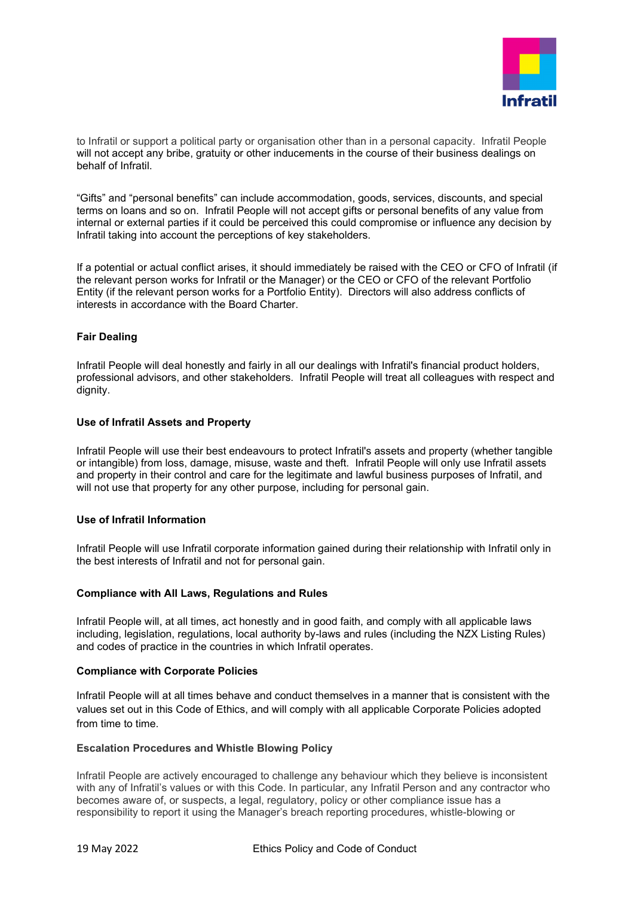

to Infratil or support a political party or organisation other than in a personal capacity. Infratil People will not accept any bribe, gratuity or other inducements in the course of their business dealings on behalf of Infratil.

"Gifts" and "personal benefits" can include accommodation, goods, services, discounts, and special terms on loans and so on. Infratil People will not accept gifts or personal benefits of any value from internal or external parties if it could be perceived this could compromise or influence any decision by Infratil taking into account the perceptions of key stakeholders.

If a potential or actual conflict arises, it should immediately be raised with the CEO or CFO of Infratil (if the relevant person works for Infratil or the Manager) or the CEO or CFO of the relevant Portfolio Entity (if the relevant person works for a Portfolio Entity). Directors will also address conflicts of interests in accordance with the Board Charter.

## **Fair Dealing**

Infratil People will deal honestly and fairly in all our dealings with Infratil's financial product holders, professional advisors, and other stakeholders. Infratil People will treat all colleagues with respect and dignity.

## **Use of Infratil Assets and Property**

Infratil People will use their best endeavours to protect Infratil's assets and property (whether tangible or intangible) from loss, damage, misuse, waste and theft. Infratil People will only use Infratil assets and property in their control and care for the legitimate and lawful business purposes of Infratil, and will not use that property for any other purpose, including for personal gain.

# **Use of Infratil Information**

Infratil People will use Infratil corporate information gained during their relationship with Infratil only in the best interests of Infratil and not for personal gain.

### **Compliance with All Laws, Regulations and Rules**

Infratil People will, at all times, act honestly and in good faith, and comply with all applicable laws including, legislation, regulations, local authority by-laws and rules (including the NZX Listing Rules) and codes of practice in the countries in which Infratil operates.

### **Compliance with Corporate Policies**

Infratil People will at all times behave and conduct themselves in a manner that is consistent with the values set out in this Code of Ethics, and will comply with all applicable Corporate Policies adopted from time to time.

### **Escalation Procedures and Whistle Blowing Policy**

Infratil People are actively encouraged to challenge any behaviour which they believe is inconsistent with any of Infratil's values or with this Code. In particular, any Infratil Person and any contractor who becomes aware of, or suspects, a legal, regulatory, policy or other compliance issue has a responsibility to report it using the Manager's breach reporting procedures, whistle-blowing or